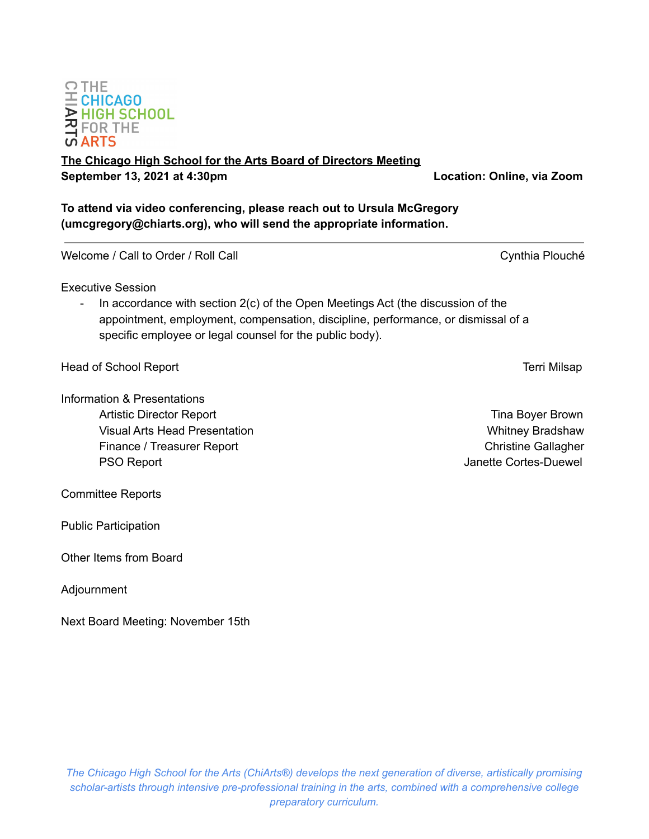# **DOMINION**<br>**A** FOR THE<br>**C** ARTS

## **The Chicago High School for the Arts Board of Directors Meeting September 13, 2021 at 4:30pm Location: Online, via Zoom**

**To attend via video conferencing, please reach out to Ursula McGregory (umcgregory@chiarts.org), who will send the appropriate information.**

Welcome / Call to Order / Roll Call Cynthia Plouché

Executive Session

In accordance with section 2(c) of the Open Meetings Act (the discussion of the appointment, employment, compensation, discipline, performance, or dismissal of a specific employee or legal counsel for the public body).

Head of School Report **Terri Milsap** 

Information & Presentations Artistic Director Report **Time Boyer Brown** Visual Arts Head Presentation Number 2012 1994 1995 Whitney Bradshaw Finance / Treasurer Report **Christian Christian Christian Christian Christian Christian Christian Christian Christian Christian Christian Christian Christian Christian Christian Christian Christian Christian Christian Chri** PSO Report **PSO Report**  $\blacksquare$ 

Committee Reports

Public Participation

Other Items from Board

Adjournment

Next Board Meeting: November 15th

**OTHE**  $\equiv$  CHICAGO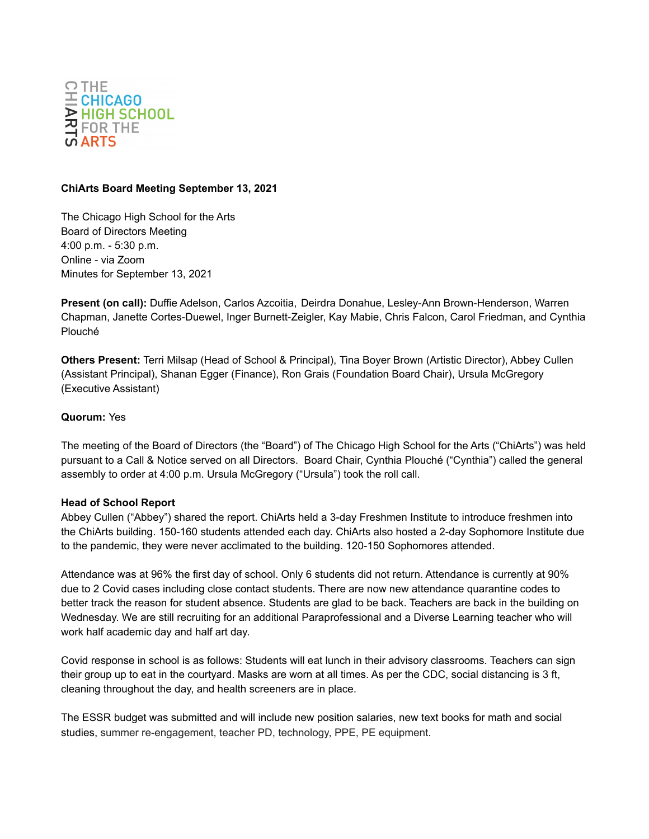

#### **ChiArts Board Meeting September 13, 2021**

The Chicago High School for the Arts Board of Directors Meeting 4:00 p.m. - 5:30 p.m. Online - via Zoom Minutes for September 13, 2021

**Present (on call):** Duffie Adelson, Carlos Azcoitia, Deirdra Donahue, Lesley-Ann Brown-Henderson, Warren Chapman, Janette Cortes-Duewel, Inger Burnett-Zeigler, Kay Mabie, Chris Falcon, Carol Friedman, and Cynthia Plouché

**Others Present:** Terri Milsap (Head of School & Principal), Tina Boyer Brown (Artistic Director), Abbey Cullen (Assistant Principal), Shanan Egger (Finance), Ron Grais (Foundation Board Chair), Ursula McGregory (Executive Assistant)

#### **Quorum:** Yes

The meeting of the Board of Directors (the "Board") of The Chicago High School for the Arts ("ChiArts") was held pursuant to a Call & Notice served on all Directors. Board Chair, Cynthia Plouché ("Cynthia") called the general assembly to order at 4:00 p.m. Ursula McGregory ("Ursula") took the roll call.

#### **Head of School Report**

Abbey Cullen ("Abbey") shared the report. ChiArts held a 3-day Freshmen Institute to introduce freshmen into the ChiArts building. 150-160 students attended each day. ChiArts also hosted a 2-day Sophomore Institute due to the pandemic, they were never acclimated to the building. 120-150 Sophomores attended.

Attendance was at 96% the first day of school. Only 6 students did not return. Attendance is currently at 90% due to 2 Covid cases including close contact students. There are now new attendance quarantine codes to better track the reason for student absence. Students are glad to be back. Teachers are back in the building on Wednesday. We are still recruiting for an additional Paraprofessional and a Diverse Learning teacher who will work half academic day and half art day.

Covid response in school is as follows: Students will eat lunch in their advisory classrooms. Teachers can sign their group up to eat in the courtyard. Masks are worn at all times. As per the CDC, social distancing is 3 ft, cleaning throughout the day, and health screeners are in place.

The ESSR budget was submitted and will include new position salaries, new text books for math and social studies, summer re-engagement, teacher PD, technology, PPE, PE equipment.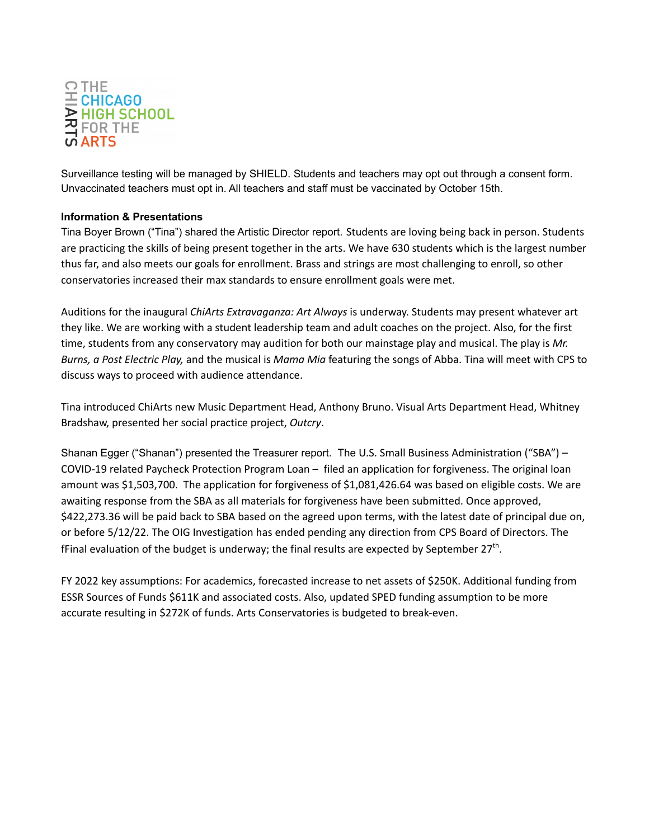

Surveillance testing will be managed by SHIELD. Students and teachers may opt out through a consent form. Unvaccinated teachers must opt in. All teachers and staff must be vaccinated by October 15th.

### **Information & Presentations**

Tina Boyer Brown ("Tina") shared the Artistic Director report. Students are loving being back in person. Students are practicing the skills of being present together in the arts. We have 630 students which is the largest number thus far, and also meets our goals for enrollment. Brass and strings are most challenging to enroll, so other conservatories increased their max standards to ensure enrollment goals were met.

Auditions for the inaugural *ChiArts Extravaganza: Art Always* is underway. Students may present whatever art they like. We are working with a student leadership team and adult coaches on the project. Also, for the first time, students from any conservatory may audition for both our mainstage play and musical. The play is *Mr. Burns, a Post Electric Play,* and the musical is *Mama Mia* featuring the songs of Abba. Tina will meet with CPS to discuss ways to proceed with audience attendance.

Tina introduced ChiArts new Music Department Head, Anthony Bruno. Visual Arts Department Head, Whitney Bradshaw, presented her social practice project, *Outcry*.

Shanan Egger ("Shanan") presented the Treasurer report. The U.S. Small Business Administration ("SBA") – COVID-19 related Paycheck Protection Program Loan – filed an application for forgiveness. The original loan amount was \$1,503,700. The application for forgiveness of \$1,081,426.64 was based on eligible costs. We are awaiting response from the SBA as all materials for forgiveness have been submitted. Once approved, \$422,273.36 will be paid back to SBA based on the agreed upon terms, with the latest date of principal due on, or before 5/12/22. The OIG Investigation has ended pending any direction from CPS Board of Directors. The fFinal evaluation of the budget is underway; the final results are expected by September 27<sup>th</sup>.

FY 2022 key assumptions: For academics, forecasted increase to net assets of \$250K. Additional funding from ESSR Sources of Funds \$611K and associated costs. Also, updated SPED funding assumption to be more accurate resulting in \$272K of funds. Arts Conservatories is budgeted to break-even.